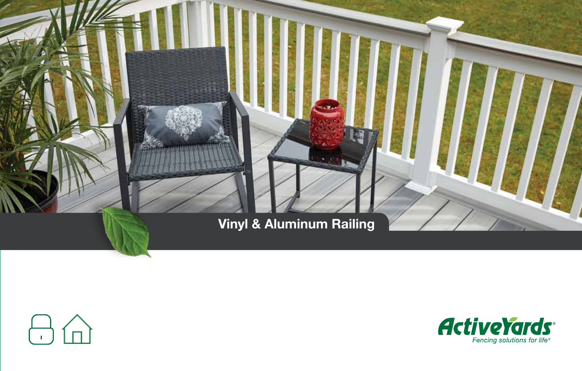



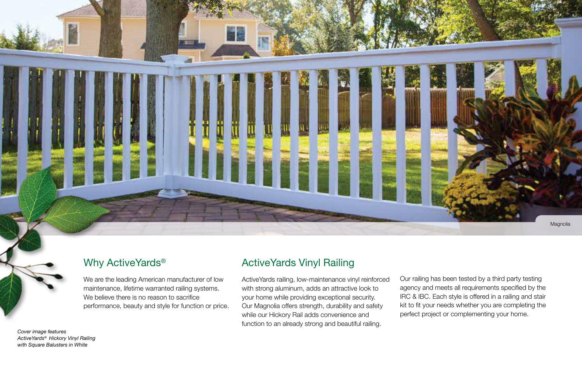

#### Why ActiveYards<sup>®</sup>

We are the leading American manufacturer of low maintenance, lifetime warranted railing systems. We believe there is no reason to sacrifice performance, beauty and style for function or price.

## ActiveYards Vinyl Railing

ActiveYards railing, low-maintenance vinyl reinforced with strong aluminum, adds an attractive look to your home while providing exceptional security. Our Magnolia offers strength, durability and safety while our Hickory Rail adds convenience and function to an already strong and beautiful railing.

Our railing has been tested by a third party testing agency and meets all requirements specified by the IRC & IBC. Each style is offered in a railing and stair kit to fit your needs whether you are completing the perfect project or complementing your home.

*Cover image features ActiveYards® Hickory Vinyl Railing with Square Balusters in White*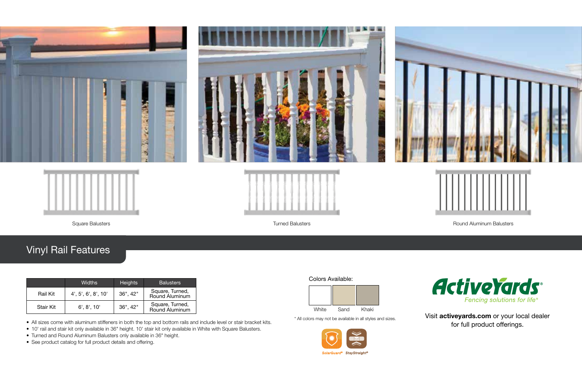

# Vinyl Rail Features

|           | <b>Widths</b>       | <b>Heights</b> | <b>Balusters</b>                  |
|-----------|---------------------|----------------|-----------------------------------|
| Rail Kit  | 4', 5', 6', 8', 10' | 36", 42"       | Square, Turned,<br>Round Aluminum |
| Stair Kit | 6', 8', 10'         | 36", 42"       | Square, Turned,<br>Round Aluminum |

• All sizes come with aluminum stiffeners in both the top and bottom rails and include level or stair bracket kits.

- 10' rail and stair kit only available in 36" height. 10' stair kit only available in White with Square Balusters.
- Turned and Round Aluminum Balusters only available in 36" height.
- See product catalog for full product details and offering.

#### Colors Available:



\* All colors may not be available in all styles and sizes.





Visit activeyards.com or your local dealer for full product offerings.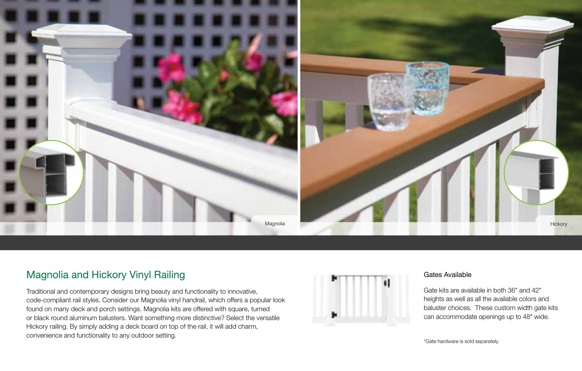

## Magnolia and Hickory Vinyl Railing

Traditional and contemporary designs bring beauty and functionality to innovative, code-compliant rail styles. Consider our Magnolia vinyl handrail, which offers a popular look found on many deck and porch settings. Magnolia kits are offered with square, turned or black round aluminum balusters. Want something more distinctive? Select the versatile Hickory railing. By simply adding a deck board on top of the rail, it will add charm, convenience and functionality to any outdoor setting.



#### Gates Available

Gate kits are available in both 36" and 42" heights as well as all the available colors and baluster choices. These custom width gate kits can accommodate openings up to 48" wide.

\*Gate hardware is sold separately.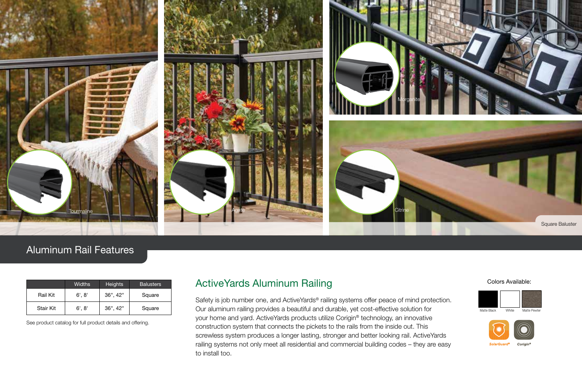

### Aluminum Rail Features

|           | <b>Widths</b> | <b>Heights</b> | <b>Balusters</b> |
|-----------|---------------|----------------|------------------|
| Rail Kit  | 6', 8'        | $36"$ . 42"    | Square           |
| Stair Kit | 6', 8'        | $36$ ", $42$ " | Square           |

See product catalog for full product details and offering.

#### ActiveYards Aluminum Railing

Safety is job number one, and ActiveYards® railing systems offer peace of mind protection. Our aluminum railing provides a beautiful and durable, yet cost-effective solution for your home and yard. ActiveYards products utilize Corigin® technology, an innovative construction system that connects the pickets to the rails from the inside out. This screwless system produces a longer lasting, stronger and better looking rail. ActiveYards railing systems not only meet all residential and commercial building codes – they are easy to install too.

#### Colors Available: